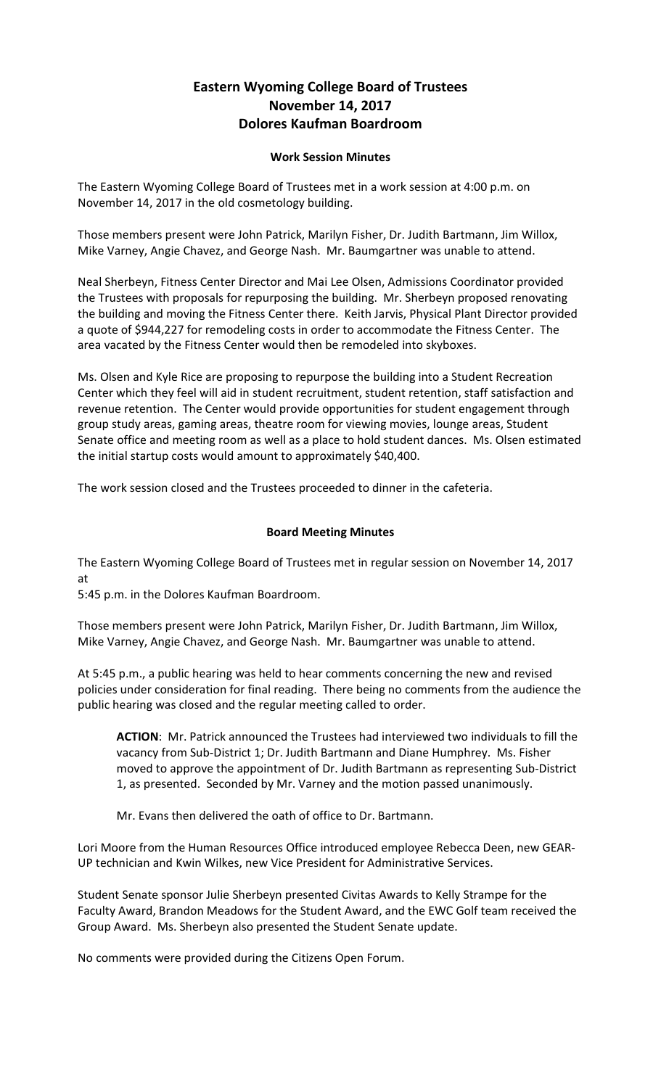## **Eastern Wyoming College Board of Trustees November 14, 2017 Dolores Kaufman Boardroom**

## **Work Session Minutes**

The Eastern Wyoming College Board of Trustees met in a work session at 4:00 p.m. on November 14, 2017 in the old cosmetology building.

Those members present were John Patrick, Marilyn Fisher, Dr. Judith Bartmann, Jim Willox, Mike Varney, Angie Chavez, and George Nash. Mr. Baumgartner was unable to attend.

Neal Sherbeyn, Fitness Center Director and Mai Lee Olsen, Admissions Coordinator provided the Trustees with proposals for repurposing the building. Mr. Sherbeyn proposed renovating the building and moving the Fitness Center there. Keith Jarvis, Physical Plant Director provided a quote of \$944,227 for remodeling costs in order to accommodate the Fitness Center. The area vacated by the Fitness Center would then be remodeled into skyboxes.

Ms. Olsen and Kyle Rice are proposing to repurpose the building into a Student Recreation Center which they feel will aid in student recruitment, student retention, staff satisfaction and revenue retention. The Center would provide opportunities for student engagement through group study areas, gaming areas, theatre room for viewing movies, lounge areas, Student Senate office and meeting room as well as a place to hold student dances. Ms. Olsen estimated the initial startup costs would amount to approximately \$40,400.

The work session closed and the Trustees proceeded to dinner in the cafeteria.

## **Board Meeting Minutes**

The Eastern Wyoming College Board of Trustees met in regular session on November 14, 2017 at

5:45 p.m. in the Dolores Kaufman Boardroom.

Those members present were John Patrick, Marilyn Fisher, Dr. Judith Bartmann, Jim Willox, Mike Varney, Angie Chavez, and George Nash. Mr. Baumgartner was unable to attend.

At 5:45 p.m., a public hearing was held to hear comments concerning the new and revised policies under consideration for final reading. There being no comments from the audience the public hearing was closed and the regular meeting called to order.

**ACTION**: Mr. Patrick announced the Trustees had interviewed two individuals to fill the vacancy from Sub-District 1; Dr. Judith Bartmann and Diane Humphrey. Ms. Fisher moved to approve the appointment of Dr. Judith Bartmann as representing Sub-District 1, as presented. Seconded by Mr. Varney and the motion passed unanimously.

Mr. Evans then delivered the oath of office to Dr. Bartmann.

Lori Moore from the Human Resources Office introduced employee Rebecca Deen, new GEAR-UP technician and Kwin Wilkes, new Vice President for Administrative Services.

Student Senate sponsor Julie Sherbeyn presented Civitas Awards to Kelly Strampe for the Faculty Award, Brandon Meadows for the Student Award, and the EWC Golf team received the Group Award. Ms. Sherbeyn also presented the Student Senate update.

No comments were provided during the Citizens Open Forum.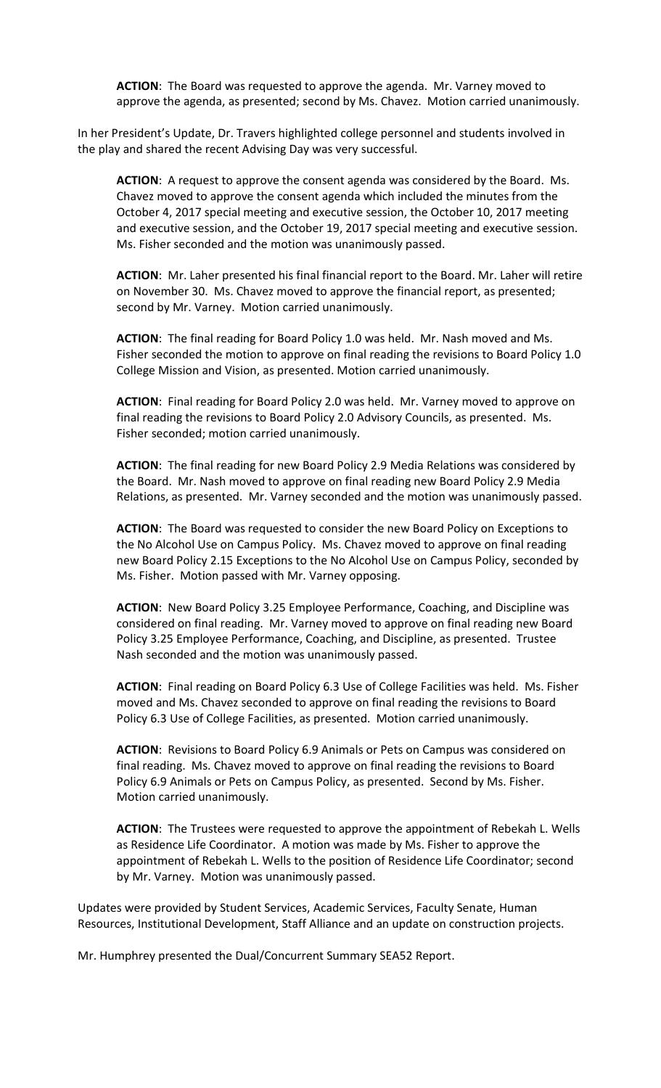**ACTION**: The Board was requested to approve the agenda. Mr. Varney moved to approve the agenda, as presented; second by Ms. Chavez. Motion carried unanimously.

In her President's Update, Dr. Travers highlighted college personnel and students involved in the play and shared the recent Advising Day was very successful.

**ACTION**: A request to approve the consent agenda was considered by the Board. Ms. Chavez moved to approve the consent agenda which included the minutes from the October 4, 2017 special meeting and executive session, the October 10, 2017 meeting and executive session, and the October 19, 2017 special meeting and executive session. Ms. Fisher seconded and the motion was unanimously passed.

**ACTION**: Mr. Laher presented his final financial report to the Board. Mr. Laher will retire on November 30. Ms. Chavez moved to approve the financial report, as presented; second by Mr. Varney. Motion carried unanimously.

**ACTION**: The final reading for Board Policy 1.0 was held. Mr. Nash moved and Ms. Fisher seconded the motion to approve on final reading the revisions to Board Policy 1.0 College Mission and Vision, as presented. Motion carried unanimously.

**ACTION**: Final reading for Board Policy 2.0 was held. Mr. Varney moved to approve on final reading the revisions to Board Policy 2.0 Advisory Councils, as presented. Ms. Fisher seconded; motion carried unanimously.

**ACTION**: The final reading for new Board Policy 2.9 Media Relations was considered by the Board. Mr. Nash moved to approve on final reading new Board Policy 2.9 Media Relations, as presented. Mr. Varney seconded and the motion was unanimously passed.

**ACTION**: The Board was requested to consider the new Board Policy on Exceptions to the No Alcohol Use on Campus Policy. Ms. Chavez moved to approve on final reading new Board Policy 2.15 Exceptions to the No Alcohol Use on Campus Policy, seconded by Ms. Fisher. Motion passed with Mr. Varney opposing.

**ACTION**: New Board Policy 3.25 Employee Performance, Coaching, and Discipline was considered on final reading. Mr. Varney moved to approve on final reading new Board Policy 3.25 Employee Performance, Coaching, and Discipline, as presented. Trustee Nash seconded and the motion was unanimously passed.

**ACTION**: Final reading on Board Policy 6.3 Use of College Facilities was held. Ms. Fisher moved and Ms. Chavez seconded to approve on final reading the revisions to Board Policy 6.3 Use of College Facilities, as presented. Motion carried unanimously.

**ACTION**: Revisions to Board Policy 6.9 Animals or Pets on Campus was considered on final reading. Ms. Chavez moved to approve on final reading the revisions to Board Policy 6.9 Animals or Pets on Campus Policy, as presented. Second by Ms. Fisher. Motion carried unanimously.

**ACTION**: The Trustees were requested to approve the appointment of Rebekah L. Wells as Residence Life Coordinator. A motion was made by Ms. Fisher to approve the appointment of Rebekah L. Wells to the position of Residence Life Coordinator; second by Mr. Varney. Motion was unanimously passed.

Updates were provided by Student Services, Academic Services, Faculty Senate, Human Resources, Institutional Development, Staff Alliance and an update on construction projects.

Mr. Humphrey presented the Dual/Concurrent Summary SEA52 Report.